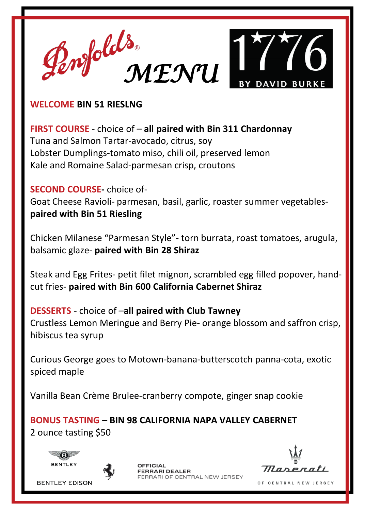

## **WELCOME BIN 51 RIESLNG**

**FIRST COURSE** - choice of – **all paired with Bin 311 Chardonnay** Tuna and Salmon Tartar-avocado, citrus, soy Lobster Dumplings-tomato miso, chili oil, preserved lemon Kale and Romaine Salad-parmesan crisp, croutons

# **SECOND COURSE-** choice of-

Goat Cheese Ravioli- parmesan, basil, garlic, roaster summer vegetables**paired with Bin 51 Riesling**

Chicken Milanese "Parmesan Style"- torn burrata, roast tomatoes, arugula, balsamic glaze- **paired with Bin 28 Shiraz**

Steak and Egg Frites- petit filet mignon, scrambled egg filled popover, handcut fries- **paired with Bin 600 California Cabernet Shiraz**

**DESSERTS** - choice of –**all paired with Club Tawney** Crustless Lemon Meringue and Berry Pie- orange blossom and saffron crisp, hibiscus tea syrup

Curious George goes to Motown-banana-butterscotch panna-cota, exotic spiced maple

Vanilla Bean Crème Brulee-cranberry compote, ginger snap cookie

**BONUS TASTING – BIN 98 CALIFORNIA NAPA VALLEY CABERNET** 2 ounce tasting \$50





**BENTLEY EDISON** 

OFFICIAL CENTRAL NEW JERSEY

Thar

OF CENTRAL NEW JERSEY